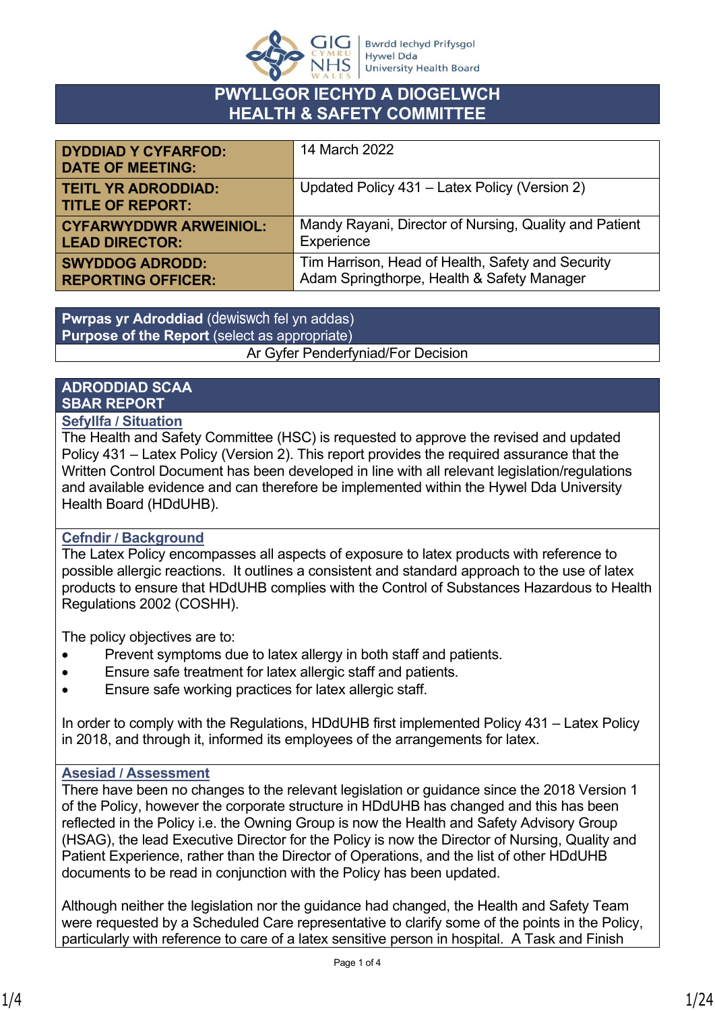

### **PWYLLGOR IECHYD A DIOGELWCH HEALTH & SAFETY COMMITTEE**

| <b>DYDDIAD Y CYFARFOD:</b><br><b>DATE OF MEETING:</b> | 14 March 2022                                          |
|-------------------------------------------------------|--------------------------------------------------------|
| <b>TEITL YR ADRODDIAD:</b><br><b>TITLE OF REPORT:</b> | Updated Policy 431 - Latex Policy (Version 2)          |
| <b>CYFARWYDDWR ARWEINIOL:</b>                         | Mandy Rayani, Director of Nursing, Quality and Patient |
| <b>LEAD DIRECTOR:</b>                                 | Experience                                             |
| <b>SWYDDOG ADRODD:</b>                                | Tim Harrison, Head of Health, Safety and Security      |
| <b>REPORTING OFFICER:</b>                             | Adam Springthorpe, Health & Safety Manager             |

**Pwrpas yr Adroddiad** (dewiswch fel yn addas) **Purpose of the Report** (select as appropriate) Ar Gyfer Penderfyniad/For Decision

### **ADRODDIAD SCAA SBAR REPORT**

#### **Sefyllfa / Situation**

The Health and Safety Committee (HSC) is requested to approve the revised and updated Policy 431 – Latex Policy (Version 2). This report provides the required assurance that the Written Control Document has been developed in line with all relevant legislation/regulations and available evidence and can therefore be implemented within the Hywel Dda University Health Board (HDdUHB).

#### **Cefndir / Background**

The Latex Policy encompasses all aspects of exposure to latex products with reference to possible allergic reactions. It outlines a consistent and standard approach to the use of latex products to ensure that HDdUHB complies with the Control of Substances Hazardous to Health Regulations 2002 (COSHH).

The policy objectives are to:

- Prevent symptoms due to latex allergy in both staff and patients.
- Ensure safe treatment for latex allergic staff and patients.
- Ensure safe working practices for latex allergic staff.

In order to comply with the Regulations, HDdUHB first implemented Policy 431 – Latex Policy in 2018, and through it, informed its employees of the arrangements for latex.

#### **Asesiad / Assessment**

There have been no changes to the relevant legislation or guidance since the 2018 Version 1 of the Policy, however the corporate structure in HDdUHB has changed and this has been reflected in the Policy i.e. the Owning Group is now the Health and Safety Advisory Group (HSAG), the lead Executive Director for the Policy is now the Director of Nursing, Quality and Patient Experience, rather than the Director of Operations, and the list of other HDdUHB documents to be read in conjunction with the Policy has been updated.

Although neither the legislation nor the guidance had changed, the Health and Safety Team were requested by a Scheduled Care representative to clarify some of the points in the Policy, particularly with reference to care of a latex sensitive person in hospital. A Task and Finish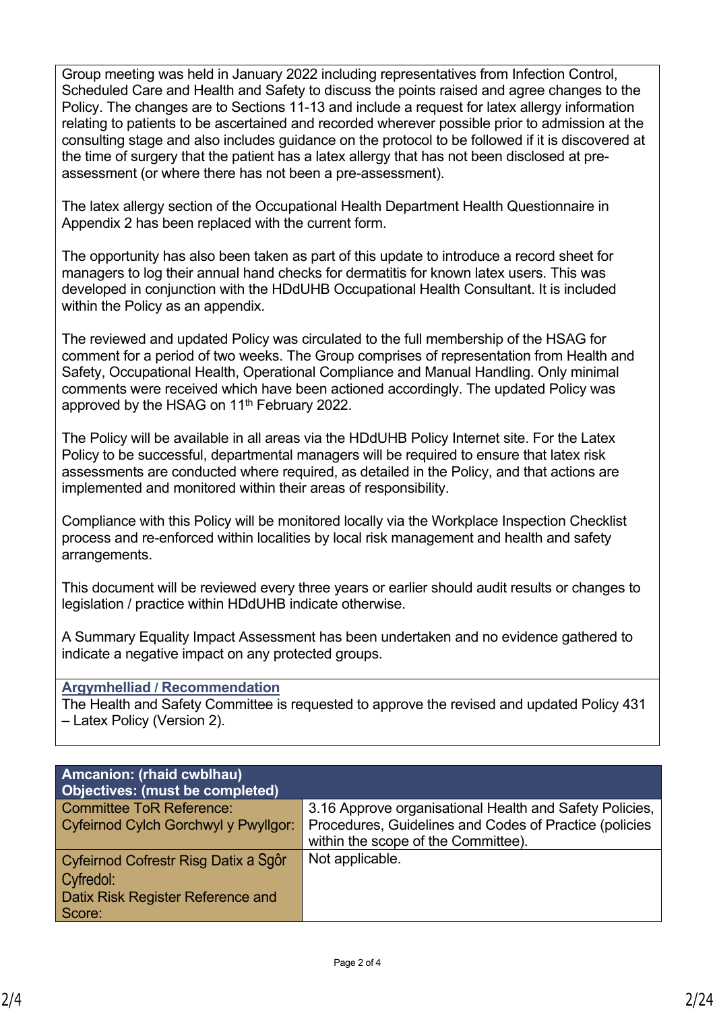Group meeting was held in January 2022 including representatives from Infection Control, Scheduled Care and Health and Safety to discuss the points raised and agree changes to the Policy. The changes are to Sections 11-13 and include a request for latex allergy information relating to patients to be ascertained and recorded wherever possible prior to admission at the consulting stage and also includes guidance on the protocol to be followed if it is discovered at the time of surgery that the patient has a latex allergy that has not been disclosed at preassessment (or where there has not been a pre-assessment).

The latex allergy section of the Occupational Health Department Health Questionnaire in Appendix 2 has been replaced with the current form.

The opportunity has also been taken as part of this update to introduce a record sheet for managers to log their annual hand checks for dermatitis for known latex users. This was developed in conjunction with the HDdUHB Occupational Health Consultant. It is included within the Policy as an appendix.

The reviewed and updated Policy was circulated to the full membership of the HSAG for comment for a period of two weeks. The Group comprises of representation from Health and Safety, Occupational Health, Operational Compliance and Manual Handling. Only minimal comments were received which have been actioned accordingly. The updated Policy was approved by the HSAG on 11<sup>th</sup> February 2022.

The Policy will be available in all areas via the HDdUHB Policy Internet site. For the Latex Policy to be successful, departmental managers will be required to ensure that latex risk assessments are conducted where required, as detailed in the Policy, and that actions are implemented and monitored within their areas of responsibility.

Compliance with this Policy will be monitored locally via the Workplace Inspection Checklist process and re-enforced within localities by local risk management and health and safety arrangements.

This document will be reviewed every three years or earlier should audit results or changes to legislation / practice within HDdUHB indicate otherwise.

A Summary Equality Impact Assessment has been undertaken and no evidence gathered to indicate a negative impact on any protected groups.

#### **Argymhelliad / Recommendation**

The Health and Safety Committee is requested to approve the revised and updated Policy 431 – Latex Policy (Version 2).

| <b>Amcanion: (rhaid cwblhau)</b><br>Objectives: (must be completed) |                                                         |
|---------------------------------------------------------------------|---------------------------------------------------------|
| <b>Committee ToR Reference:</b>                                     | 3.16 Approve organisational Health and Safety Policies, |
| Cyfeirnod Cylch Gorchwyl y Pwyllgor:                                | Procedures, Guidelines and Codes of Practice (policies  |
|                                                                     | within the scope of the Committee).                     |
| Cyfeirnod Cofrestr Risg Datix a Sgôr                                | Not applicable.                                         |
| Cyfredol:                                                           |                                                         |
| <b>Datix Risk Register Reference and</b>                            |                                                         |
| Score:                                                              |                                                         |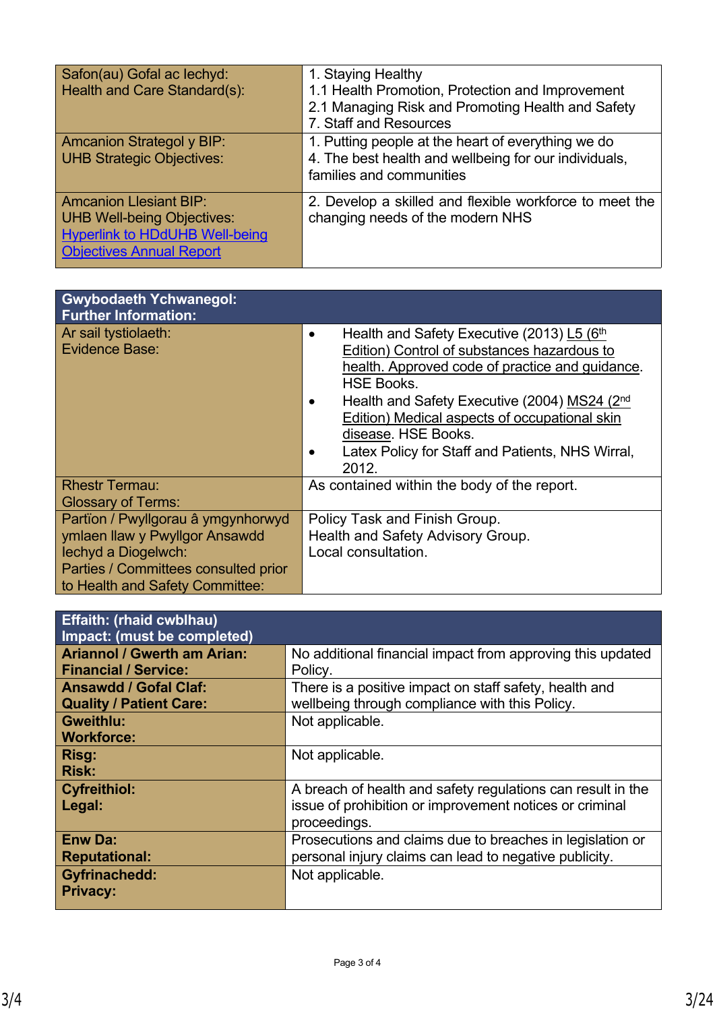| Safon(au) Gofal ac lechyd:<br>Health and Care Standard(s):                                                                                     | 1. Staying Healthy<br>1.1 Health Promotion, Protection and Improvement<br>2.1 Managing Risk and Promoting Health and Safety<br>7. Staff and Resources |
|------------------------------------------------------------------------------------------------------------------------------------------------|-------------------------------------------------------------------------------------------------------------------------------------------------------|
| <b>Amcanion Strategol y BIP:</b><br><b>UHB Strategic Objectives:</b>                                                                           | 1. Putting people at the heart of everything we do<br>4. The best health and wellbeing for our individuals,<br>families and communities               |
| <b>Amcanion Llesiant BIP:</b><br><b>UHB Well-being Objectives:</b><br><b>Hyperlink to HDdUHB Well-being</b><br><b>Objectives Annual Report</b> | 2. Develop a skilled and flexible workforce to meet the<br>changing needs of the modern NHS                                                           |

| <b>Gwybodaeth Ychwanegol:</b><br><b>Further Information:</b>                                                                                                           |                                                                                                                                                                                                                                                                                                                                                                              |
|------------------------------------------------------------------------------------------------------------------------------------------------------------------------|------------------------------------------------------------------------------------------------------------------------------------------------------------------------------------------------------------------------------------------------------------------------------------------------------------------------------------------------------------------------------|
| Ar sail tystiolaeth:<br>Evidence Base:                                                                                                                                 | Health and Safety Executive (2013) L5 (6th<br>٠<br>Edition) Control of substances hazardous to<br>health. Approved code of practice and guidance.<br><b>HSE Books.</b><br>Health and Safety Executive (2004) MS24 (2 <sup>nd</sup><br>٠<br>Edition) Medical aspects of occupational skin<br>disease. HSE Books.<br>Latex Policy for Staff and Patients, NHS Wirral,<br>2012. |
| <b>Rhestr Termau:</b><br><b>Glossary of Terms:</b>                                                                                                                     | As contained within the body of the report.                                                                                                                                                                                                                                                                                                                                  |
| Partïon / Pwyllgorau â ymgynhorwyd<br>ymlaen llaw y Pwyllgor Ansawdd<br>lechyd a Diogelwch:<br>Parties / Committees consulted prior<br>to Health and Safety Committee: | Policy Task and Finish Group.<br>Health and Safety Advisory Group.<br>Local consultation.                                                                                                                                                                                                                                                                                    |

| <b>Effaith: (rhaid cwblhau)</b><br>Impact: (must be completed)    |                                                                                                                     |
|-------------------------------------------------------------------|---------------------------------------------------------------------------------------------------------------------|
| <b>Ariannol / Gwerth am Arian:</b><br><b>Financial / Service:</b> | No additional financial impact from approving this updated<br>Policy.                                               |
| <b>Ansawdd / Gofal Claf:</b>                                      | There is a positive impact on staff safety, health and                                                              |
| <b>Quality / Patient Care:</b><br><b>Gweithlu:</b>                | wellbeing through compliance with this Policy.<br>Not applicable.                                                   |
| <b>Workforce:</b><br>Risg:                                        | Not applicable.                                                                                                     |
| <b>Risk:</b><br><b>Cyfreithiol:</b>                               | A breach of health and safety regulations can result in the                                                         |
| Legal:                                                            | issue of prohibition or improvement notices or criminal<br>proceedings.                                             |
| <b>Enw Da:</b><br><b>Reputational:</b>                            | Prosecutions and claims due to breaches in legislation or<br>personal injury claims can lead to negative publicity. |
| <b>Gyfrinachedd:</b><br><b>Privacy:</b>                           | Not applicable.                                                                                                     |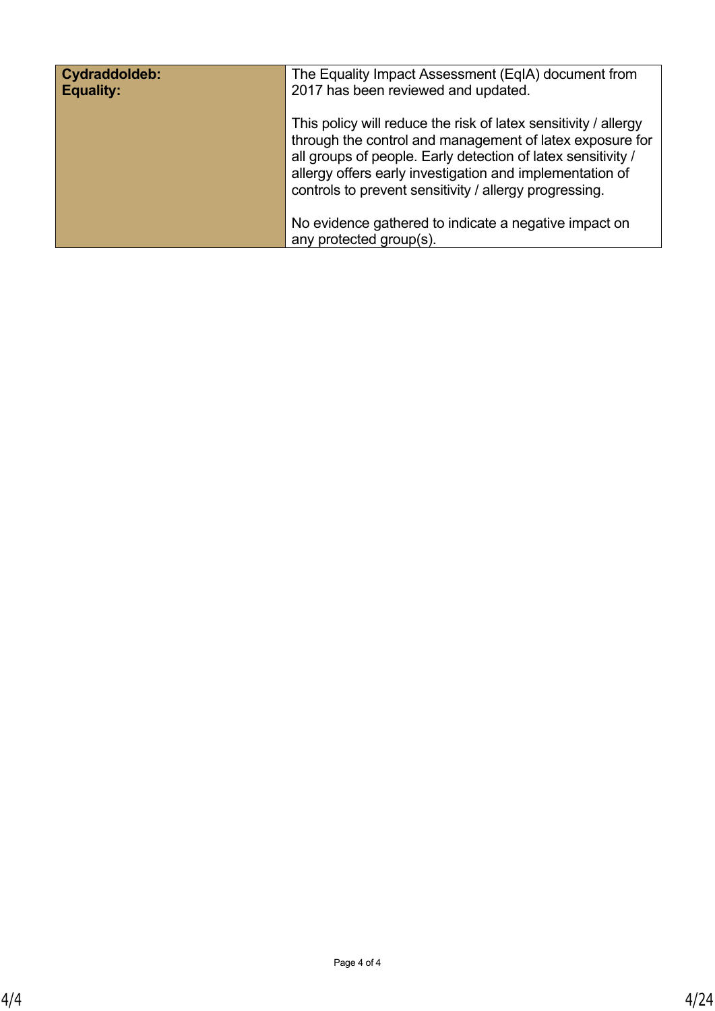| Cydraddoldeb:<br><b>Equality:</b> | The Equality Impact Assessment (EqIA) document from<br>2017 has been reviewed and updated.                                                                                                                                                                                                                        |
|-----------------------------------|-------------------------------------------------------------------------------------------------------------------------------------------------------------------------------------------------------------------------------------------------------------------------------------------------------------------|
|                                   | This policy will reduce the risk of latex sensitivity / allergy<br>through the control and management of latex exposure for<br>all groups of people. Early detection of latex sensitivity /<br>allergy offers early investigation and implementation of<br>controls to prevent sensitivity / allergy progressing. |
|                                   | No evidence gathered to indicate a negative impact on<br>any protected group(s).                                                                                                                                                                                                                                  |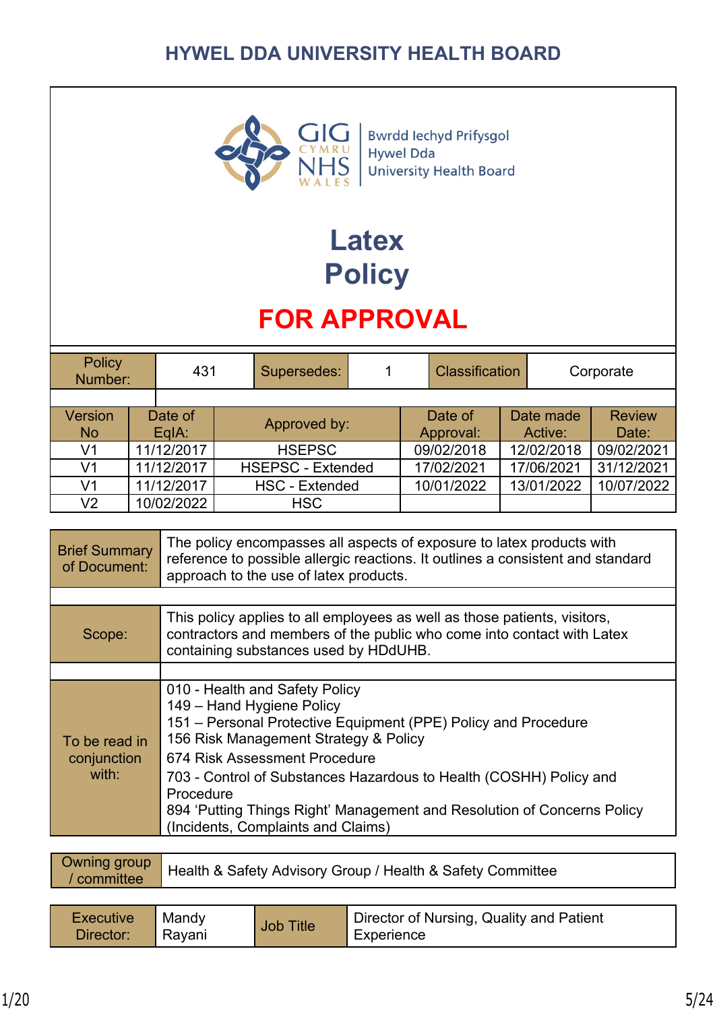

**Bwrdd lechyd Prifysgol** Hywel Dda University Health Board

# **Latex Policy**

## **FOR APPROVAL**

| <b>Policy</b><br>Number: | 431        | Supersedes:              |  | <b>Classification</b> |  | Corporate  |               |
|--------------------------|------------|--------------------------|--|-----------------------|--|------------|---------------|
|                          |            |                          |  |                       |  |            |               |
| Version                  | Date of    |                          |  | Date of               |  | Date made  | <b>Review</b> |
| <b>No</b>                | EqIA:      | Approved by:             |  | Approval:             |  | Active:    | Date:         |
| V1                       | 11/12/2017 | <b>HSEPSC</b>            |  | 09/02/2018            |  | 12/02/2018 | 09/02/2021    |
| V <sub>1</sub>           | 11/12/2017 | <b>HSEPSC - Extended</b> |  | 17/02/2021            |  | 17/06/2021 | 31/12/2021    |
| V <sub>1</sub>           | 11/12/2017 | <b>HSC - Extended</b>    |  | 10/01/2022            |  | 13/01/2022 | 10/07/2022    |
| V2                       | 10/02/2022 | <b>HSC</b>               |  |                       |  |            |               |

| <b>Brief Summary</b><br>of Document:  | The policy encompasses all aspects of exposure to latex products with<br>reference to possible allergic reactions. It outlines a consistent and standard<br>approach to the use of latex products.                                                                                                                                                                                                          |
|---------------------------------------|-------------------------------------------------------------------------------------------------------------------------------------------------------------------------------------------------------------------------------------------------------------------------------------------------------------------------------------------------------------------------------------------------------------|
|                                       |                                                                                                                                                                                                                                                                                                                                                                                                             |
| Scope:                                | This policy applies to all employees as well as those patients, visitors,<br>contractors and members of the public who come into contact with Latex<br>containing substances used by HDdUHB.                                                                                                                                                                                                                |
|                                       |                                                                                                                                                                                                                                                                                                                                                                                                             |
| To be read in<br>conjunction<br>with: | 010 - Health and Safety Policy<br>149 - Hand Hygiene Policy<br>151 - Personal Protective Equipment (PPE) Policy and Procedure<br>156 Risk Management Strategy & Policy<br>674 Risk Assessment Procedure<br>703 - Control of Substances Hazardous to Health (COSHH) Policy and<br>Procedure<br>894 'Putting Things Right' Management and Resolution of Concerns Policy<br>(Incidents, Complaints and Claims) |

| Owning group<br>/ committee Health & Safety Advisory Group / Health & Safety Committee |
|----------------------------------------------------------------------------------------|
|----------------------------------------------------------------------------------------|

| <b>Executive</b> | Mandy  | <b>Job Title</b> | Director of Nursing, Quality and Patient |
|------------------|--------|------------------|------------------------------------------|
| Director:        | Rayani |                  | Experience                               |

I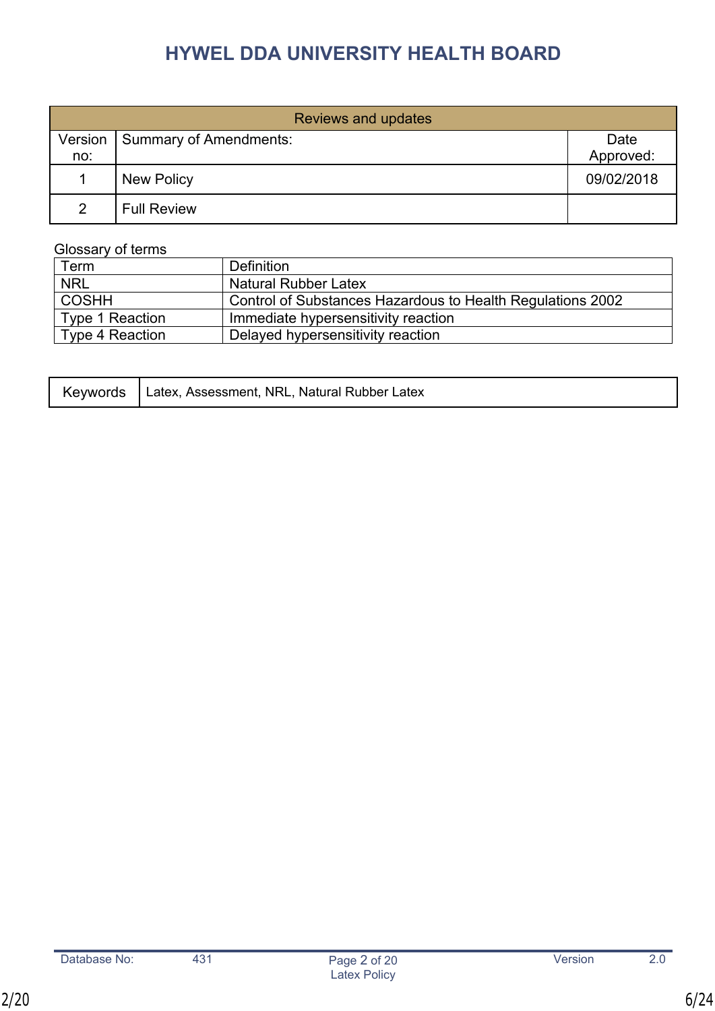| <b>Reviews and updates</b> |                        |            |  |  |
|----------------------------|------------------------|------------|--|--|
| Version                    | Summary of Amendments: | Date       |  |  |
| no:                        |                        | Approved:  |  |  |
|                            | <b>New Policy</b>      | 09/02/2018 |  |  |
| $\mathcal{D}$              | <b>Full Review</b>     |            |  |  |

### Glossary of terms

| Term                    | <b>Definition</b>                                          |
|-------------------------|------------------------------------------------------------|
| <b>NRL</b>              | <b>Natural Rubber Latex</b>                                |
| <b>COSHH</b>            | Control of Substances Hazardous to Health Regulations 2002 |
| Type 1 Reaction         | Immediate hypersensitivity reaction                        |
| $\vert$ Type 4 Reaction | Delayed hypersensitivity reaction                          |

|  | Keywords   Latex, Assessment, NRL, Natural Rubber Latex |  |
|--|---------------------------------------------------------|--|
|--|---------------------------------------------------------|--|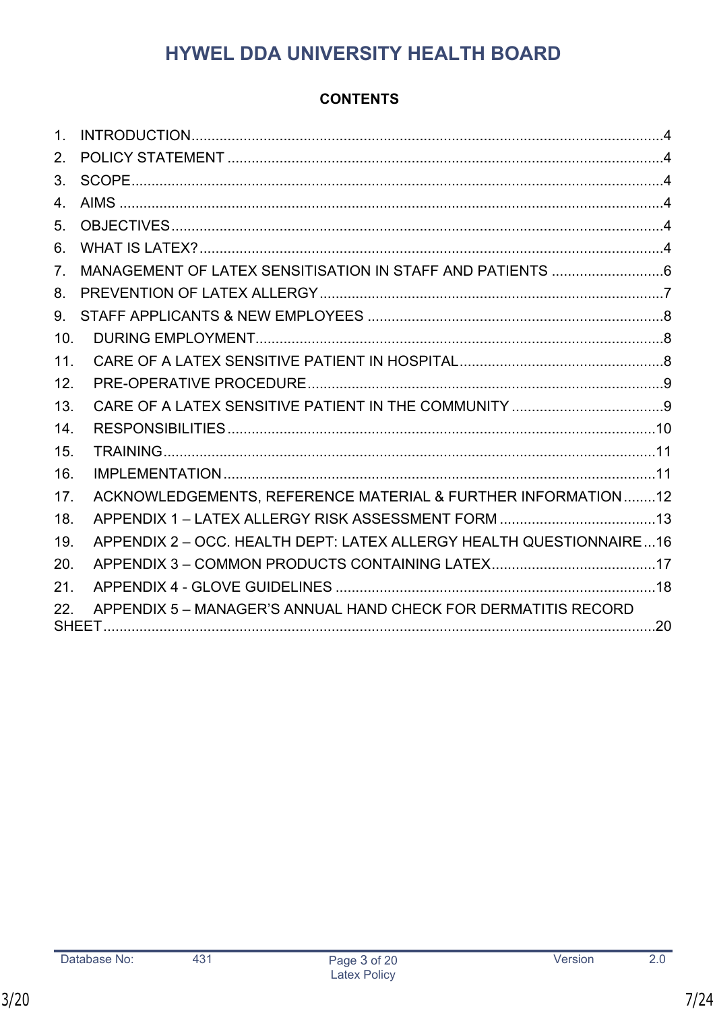### **CONTENTS**

| 1 <sup>1</sup>  |                                                                     |  |
|-----------------|---------------------------------------------------------------------|--|
| 2.              |                                                                     |  |
| 3.              |                                                                     |  |
| 4.              |                                                                     |  |
| 5.              |                                                                     |  |
| 6.              |                                                                     |  |
| 7 <sub>1</sub>  |                                                                     |  |
| 8.              |                                                                     |  |
| 9.              |                                                                     |  |
| 10 <sub>1</sub> |                                                                     |  |
| 11.             |                                                                     |  |
| 12.             |                                                                     |  |
| 13.             |                                                                     |  |
| 14.             |                                                                     |  |
| 15.             |                                                                     |  |
| 16.             |                                                                     |  |
| 17.             | ACKNOWLEDGEMENTS, REFERENCE MATERIAL & FURTHER INFORMATION12        |  |
| 18.             |                                                                     |  |
| 19.             | APPENDIX 2 - OCC. HEALTH DEPT: LATEX ALLERGY HEALTH QUESTIONNAIRE16 |  |
| 20.             |                                                                     |  |
| 21.             |                                                                     |  |
| 22.             | APPENDIX 5 - MANAGER'S ANNUAL HAND CHECK FOR DERMATITIS RECORD      |  |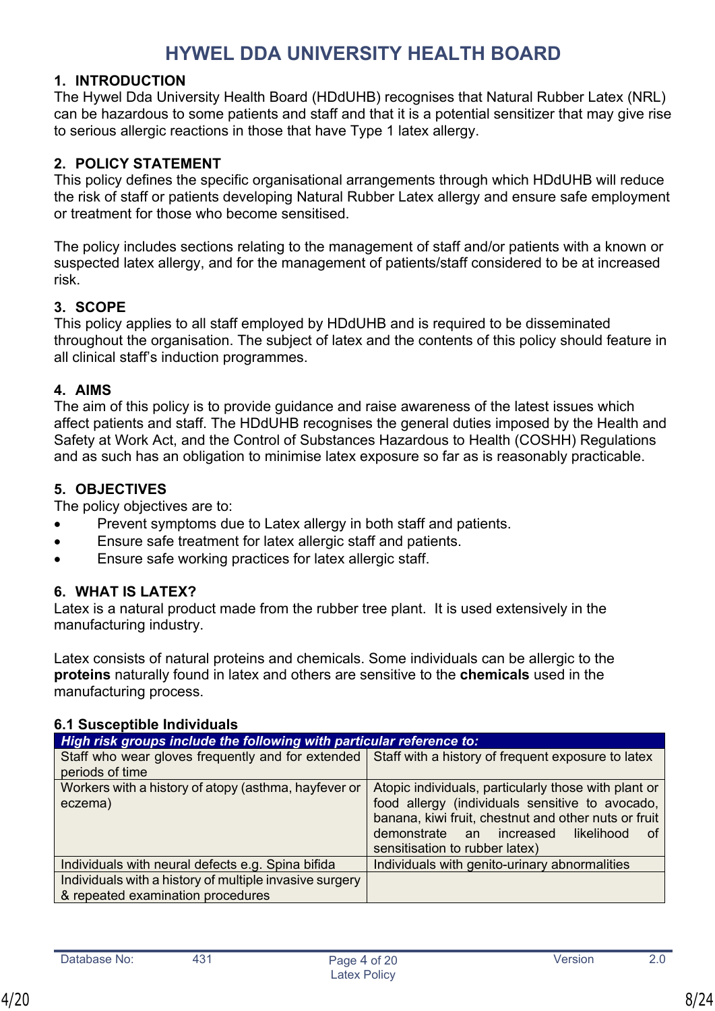#### <span id="page-7-0"></span>**1. INTRODUCTION**

The Hywel Dda University Health Board (HDdUHB) recognises that Natural Rubber Latex (NRL) can be hazardous to some patients and staff and that it is a potential sensitizer that may give rise to serious allergic reactions in those that have Type 1 latex allergy.

### <span id="page-7-1"></span>**2. POLICY STATEMENT**

This policy defines the specific organisational arrangements through which HDdUHB will reduce the risk of staff or patients developing Natural Rubber Latex allergy and ensure safe employment or treatment for those who become sensitised.

The policy includes sections relating to the management of staff and/or patients with a known or suspected latex allergy, and for the management of patients/staff considered to be at increased risk.

#### <span id="page-7-2"></span>**3. SCOPE**

This policy applies to all staff employed by HDdUHB and is required to be disseminated throughout the organisation. The subject of latex and the contents of this policy should feature in all clinical staff's induction programmes.

#### <span id="page-7-3"></span>**4. AIMS**

The aim of this policy is to provide guidance and raise awareness of the latest issues which affect patients and staff. The HDdUHB recognises the general duties imposed by the Health and Safety at Work Act, and the Control of Substances Hazardous to Health (COSHH) Regulations and as such has an obligation to minimise latex exposure so far as is reasonably practicable.

#### <span id="page-7-4"></span>**5. OBJECTIVES**

The policy objectives are to:

- Prevent symptoms due to Latex allergy in both staff and patients.
- Ensure safe treatment for latex allergic staff and patients.
- Ensure safe working practices for latex allergic staff.

### <span id="page-7-5"></span>**6. WHAT IS LATEX?**

Latex is a natural product made from the rubber tree plant. It is used extensively in the manufacturing industry.

Latex consists of natural proteins and chemicals. Some individuals can be allergic to the **proteins** naturally found in latex and others are sensitive to the **chemicals** used in the manufacturing process.

| High risk groups include the following with particular reference to:                                 |                                                      |
|------------------------------------------------------------------------------------------------------|------------------------------------------------------|
| Staff who wear gloves frequently and for extended Staff with a history of frequent exposure to latex |                                                      |
| periods of time                                                                                      |                                                      |
| Workers with a history of atopy (asthma, hayfever or                                                 | Atopic individuals, particularly those with plant or |
| eczema)                                                                                              | food allergy (individuals sensitive to avocado,      |
|                                                                                                      | banana, kiwi fruit, chestnut and other nuts or fruit |
|                                                                                                      | demonstrate an increased<br>likelihood<br>of.        |
|                                                                                                      | sensitisation to rubber latex)                       |
| Individuals with neural defects e.g. Spina bifida                                                    | Individuals with genito-urinary abnormalities        |
| Individuals with a history of multiple invasive surgery                                              |                                                      |
| & repeated examination procedures                                                                    |                                                      |

#### **6.1 Susceptible Individuals**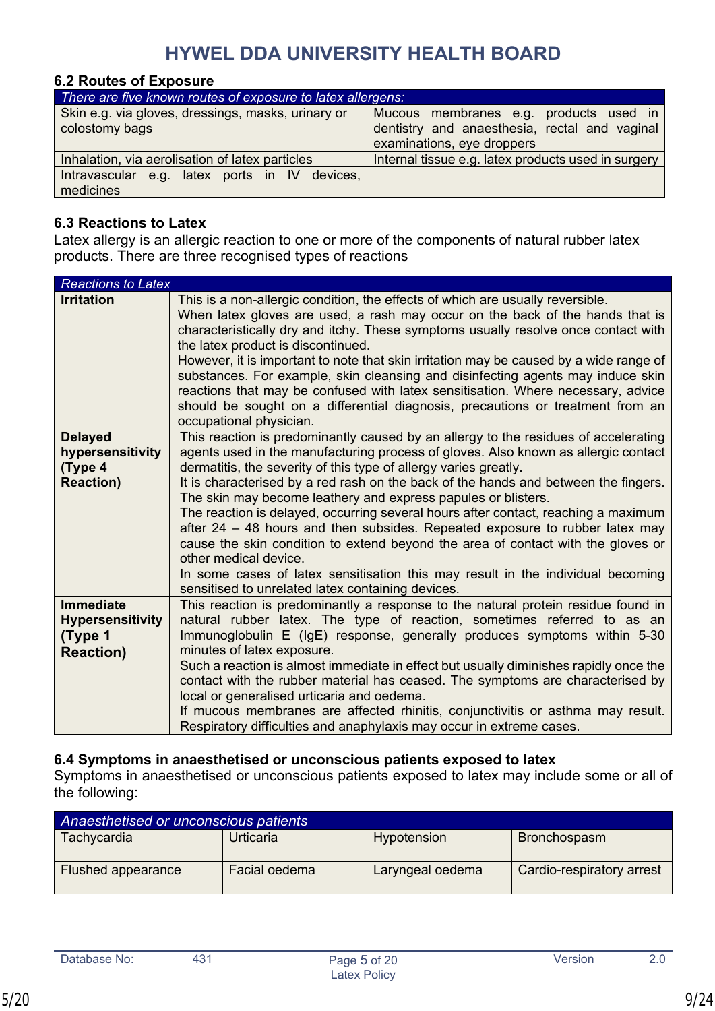### **6.2 Routes of Exposure**

| There are five known routes of exposure to latex allergens:          |                                                                                                                       |  |  |  |  |  |
|----------------------------------------------------------------------|-----------------------------------------------------------------------------------------------------------------------|--|--|--|--|--|
| Skin e.g. via gloves, dressings, masks, urinary or<br>colostomy bags | Mucous membranes e.g. products used in<br>dentistry and anaesthesia, rectal and vaginal<br>examinations, eye droppers |  |  |  |  |  |
| Inhalation, via aerolisation of latex particles                      | Internal tissue e.g. latex products used in surgery                                                                   |  |  |  |  |  |
| Intravascular e.g. latex ports in IV devices,<br>medicines           |                                                                                                                       |  |  |  |  |  |

#### **6.3 Reactions to Latex**

Latex allergy is an allergic reaction to one or more of the components of natural rubber latex products. There are three recognised types of reactions

| <b>Reactions to Latex</b>                                                  |                                                                                                                                                                                                                                                                                                                                                                                                                                                                                                                                                                                                                                                                                                                                                                                                                                  |
|----------------------------------------------------------------------------|----------------------------------------------------------------------------------------------------------------------------------------------------------------------------------------------------------------------------------------------------------------------------------------------------------------------------------------------------------------------------------------------------------------------------------------------------------------------------------------------------------------------------------------------------------------------------------------------------------------------------------------------------------------------------------------------------------------------------------------------------------------------------------------------------------------------------------|
| <b>Irritation</b>                                                          | This is a non-allergic condition, the effects of which are usually reversible.<br>When latex gloves are used, a rash may occur on the back of the hands that is<br>characteristically dry and itchy. These symptoms usually resolve once contact with<br>the latex product is discontinued.<br>However, it is important to note that skin irritation may be caused by a wide range of<br>substances. For example, skin cleansing and disinfecting agents may induce skin<br>reactions that may be confused with latex sensitisation. Where necessary, advice<br>should be sought on a differential diagnosis, precautions or treatment from an<br>occupational physician.                                                                                                                                                        |
| <b>Delayed</b><br>hypersensitivity<br>(Type 4<br><b>Reaction)</b>          | This reaction is predominantly caused by an allergy to the residues of accelerating<br>agents used in the manufacturing process of gloves. Also known as allergic contact<br>dermatitis, the severity of this type of allergy varies greatly.<br>It is characterised by a red rash on the back of the hands and between the fingers.<br>The skin may become leathery and express papules or blisters.<br>The reaction is delayed, occurring several hours after contact, reaching a maximum<br>after 24 – 48 hours and then subsides. Repeated exposure to rubber latex may<br>cause the skin condition to extend beyond the area of contact with the gloves or<br>other medical device.<br>In some cases of latex sensitisation this may result in the individual becoming<br>sensitised to unrelated latex containing devices. |
| <b>Immediate</b><br><b>Hypersensitivity</b><br>(Type 1<br><b>Reaction)</b> | This reaction is predominantly a response to the natural protein residue found in<br>natural rubber latex. The type of reaction, sometimes referred to as an<br>Immunoglobulin E (IgE) response, generally produces symptoms within 5-30<br>minutes of latex exposure.<br>Such a reaction is almost immediate in effect but usually diminishes rapidly once the<br>contact with the rubber material has ceased. The symptoms are characterised by<br>local or generalised urticaria and oedema.<br>If mucous membranes are affected rhinitis, conjunctivitis or asthma may result.<br>Respiratory difficulties and anaphylaxis may occur in extreme cases.                                                                                                                                                                       |

### **6.4 Symptoms in anaesthetised or unconscious patients exposed to latex**

Symptoms in anaesthetised or unconscious patients exposed to latex may include some or all of the following:

| Anaesthetised or unconscious patients |               |                  |                           |  |  |  |  |  |
|---------------------------------------|---------------|------------------|---------------------------|--|--|--|--|--|
| Tachycardia                           | Urticaria     | Hypotension      | Bronchospasm              |  |  |  |  |  |
| Flushed appearance                    | Facial oedema | Laryngeal oedema | Cardio-respiratory arrest |  |  |  |  |  |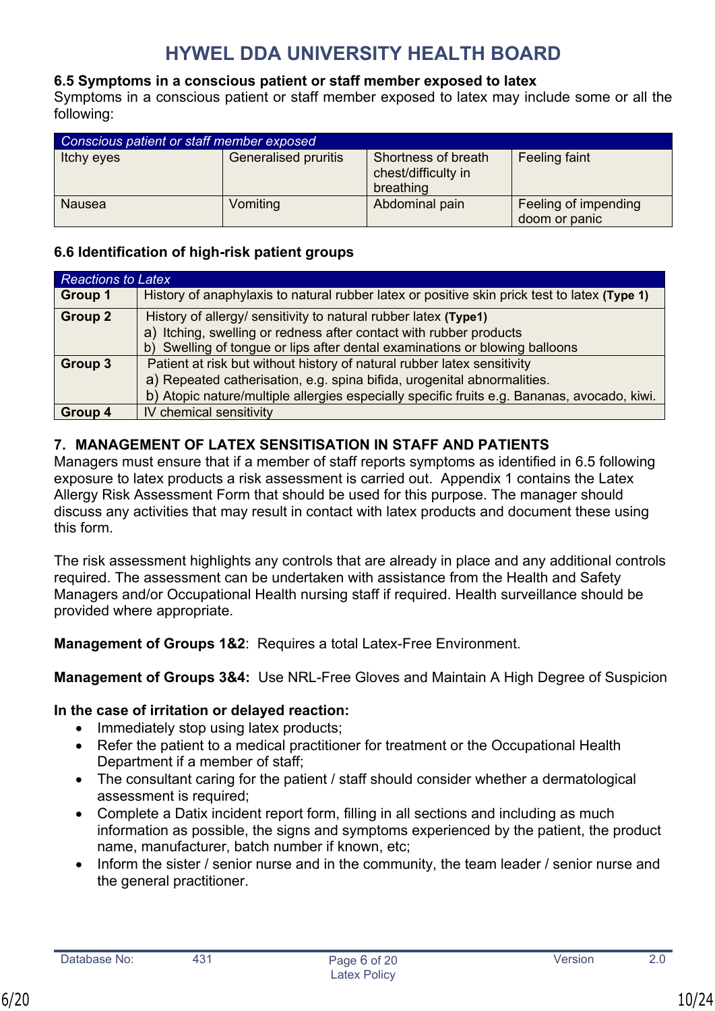### **6.5 Symptoms in a conscious patient or staff member exposed to latex**

Symptoms in a conscious patient or staff member exposed to latex may include some or all the following:

| Conscious patient or staff member exposed |                             |                                                         |                                       |  |  |  |  |  |  |
|-------------------------------------------|-----------------------------|---------------------------------------------------------|---------------------------------------|--|--|--|--|--|--|
| Itchy eyes                                | <b>Generalised pruritis</b> | Shortness of breath<br>chest/difficulty in<br>breathing | Feeling faint                         |  |  |  |  |  |  |
| <b>Nausea</b>                             | Vomiting                    | Abdominal pain                                          | Feeling of impending<br>doom or panic |  |  |  |  |  |  |

### **6.6 Identification of high-risk patient groups**

| <b>Reactions to Latex</b> |                                                                                              |  |  |  |  |  |
|---------------------------|----------------------------------------------------------------------------------------------|--|--|--|--|--|
| Group 1                   | History of anaphylaxis to natural rubber latex or positive skin prick test to latex (Type 1) |  |  |  |  |  |
| <b>Group 2</b>            | History of allergy/ sensitivity to natural rubber latex (Type1)                              |  |  |  |  |  |
|                           | a) Itching, swelling or redness after contact with rubber products                           |  |  |  |  |  |
|                           | b) Swelling of tongue or lips after dental examinations or blowing balloons                  |  |  |  |  |  |
| Group 3                   | Patient at risk but without history of natural rubber latex sensitivity                      |  |  |  |  |  |
|                           | a) Repeated catherisation, e.g. spina bifida, urogenital abnormalities.                      |  |  |  |  |  |
|                           | b) Atopic nature/multiple allergies especially specific fruits e.g. Bananas, avocado, kiwi.  |  |  |  |  |  |
| Group 4                   | <b>IV</b> chemical sensitivity                                                               |  |  |  |  |  |

### <span id="page-9-0"></span>**7. MANAGEMENT OF LATEX SENSITISATION IN STAFF AND PATIENTS**

Managers must ensure that if a member of staff reports symptoms as identified in 6.5 following exposure to latex products a risk assessment is carried out. Appendix 1 contains the Latex Allergy Risk Assessment Form that should be used for this purpose. The manager should discuss any activities that may result in contact with latex products and document these using this form.

The risk assessment highlights any controls that are already in place and any additional controls required. The assessment can be undertaken with assistance from the Health and Safety Managers and/or Occupational Health nursing staff if required. Health surveillance should be provided where appropriate.

**Management of Groups 1&2**: Requires a total Latex-Free Environment.

**Management of Groups 3&4:** Use NRL-Free Gloves and Maintain A High Degree of Suspicion

### **In the case of irritation or delayed reaction:**

- Immediately stop using latex products;
- Refer the patient to a medical practitioner for treatment or the Occupational Health Department if a member of staff;
- The consultant caring for the patient / staff should consider whether a dermatological assessment is required;
- Complete a Datix incident report form, filling in all sections and including as much information as possible, the signs and symptoms experienced by the patient, the product name, manufacturer, batch number if known, etc;
- Inform the sister / senior nurse and in the community, the team leader / senior nurse and the general practitioner.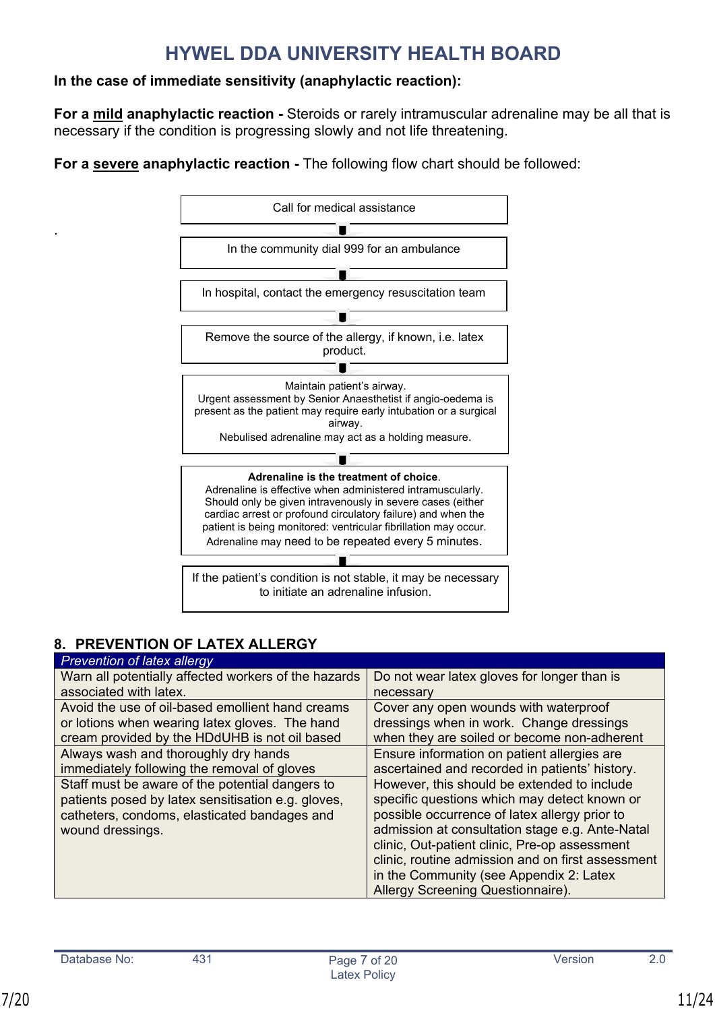### **In the case of immediate sensitivity (anaphylactic reaction):**

**For a mild anaphylactic reaction -** Steroids or rarely intramuscular adrenaline may be all that is necessary if the condition is progressing slowly and not life threatening.

**For a severe anaphylactic reaction -** The following flow chart should be followed:



### <span id="page-10-0"></span>**8. PREVENTION OF LATEX ALLERGY**

| <b>Prevention of latex allergy</b>                   |                                                   |
|------------------------------------------------------|---------------------------------------------------|
| Warn all potentially affected workers of the hazards | Do not wear latex gloves for longer than is       |
| associated with latex.                               | necessary                                         |
| Avoid the use of oil-based emollient hand creams     | Cover any open wounds with waterproof             |
| or lotions when wearing latex gloves. The hand       | dressings when in work. Change dressings          |
| cream provided by the HDdUHB is not oil based        | when they are soiled or become non-adherent       |
| Always wash and thoroughly dry hands                 | Ensure information on patient allergies are       |
| immediately following the removal of gloves          | ascertained and recorded in patients' history.    |
| Staff must be aware of the potential dangers to      | However, this should be extended to include       |
| patients posed by latex sensitisation e.g. gloves,   | specific questions which may detect known or      |
| catheters, condoms, elasticated bandages and         | possible occurrence of latex allergy prior to     |
| wound dressings.                                     | admission at consultation stage e.g. Ante-Natal   |
|                                                      | clinic, Out-patient clinic, Pre-op assessment     |
|                                                      | clinic, routine admission and on first assessment |
|                                                      | in the Community (see Appendix 2: Latex           |
|                                                      | Allergy Screening Questionnaire).                 |

.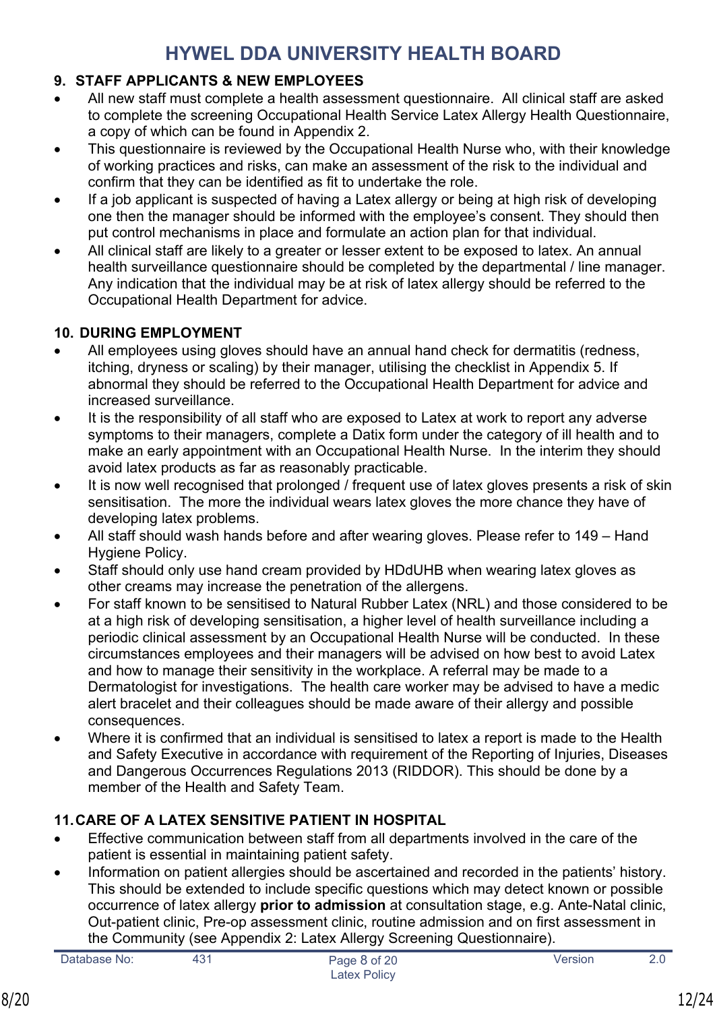### <span id="page-11-0"></span>**9. STAFF APPLICANTS & NEW EMPLOYEES**

- All new staff must complete a health assessment questionnaire. All clinical staff are asked to complete the screening Occupational Health Service Latex Allergy Health Questionnaire, a copy of which can be found in Appendix 2.
- This questionnaire is reviewed by the Occupational Health Nurse who, with their knowledge of working practices and risks, can make an assessment of the risk to the individual and confirm that they can be identified as fit to undertake the role.
- If a job applicant is suspected of having a Latex allergy or being at high risk of developing one then the manager should be informed with the employee's consent. They should then put control mechanisms in place and formulate an action plan for that individual.
- All clinical staff are likely to a greater or lesser extent to be exposed to latex. An annual health surveillance questionnaire should be completed by the departmental / line manager. Any indication that the individual may be at risk of latex allergy should be referred to the Occupational Health Department for advice.

### <span id="page-11-1"></span>**10. DURING EMPLOYMENT**

- All employees using gloves should have an annual hand check for dermatitis (redness, itching, dryness or scaling) by their manager, utilising the checklist in Appendix 5. If abnormal they should be referred to the Occupational Health Department for advice and increased surveillance.
- It is the responsibility of all staff who are exposed to Latex at work to report any adverse symptoms to their managers, complete a Datix form under the category of ill health and to make an early appointment with an Occupational Health Nurse. In the interim they should avoid latex products as far as reasonably practicable.
- It is now well recognised that prolonged / frequent use of latex gloves presents a risk of skin sensitisation. The more the individual wears latex gloves the more chance they have of developing latex problems.
- All staff should wash hands before and after wearing gloves. Please refer to 149 Hand Hygiene Policy.
- Staff should only use hand cream provided by HDdUHB when wearing latex gloves as other creams may increase the penetration of the allergens.
- For staff known to be sensitised to Natural Rubber Latex (NRL) and those considered to be at a high risk of developing sensitisation, a higher level of health surveillance including a periodic clinical assessment by an Occupational Health Nurse will be conducted. In these circumstances employees and their managers will be advised on how best to avoid Latex and how to manage their sensitivity in the workplace. A referral may be made to a Dermatologist for investigations. The health care worker may be advised to have a medic alert bracelet and their colleagues should be made aware of their allergy and possible consequences.
- Where it is confirmed that an individual is sensitised to latex a report is made to the Health and Safety Executive in accordance with requirement of the Reporting of Injuries, Diseases and Dangerous Occurrences Regulations 2013 (RIDDOR). This should be done by a member of the Health and Safety Team.

### <span id="page-11-2"></span>**11.CARE OF A LATEX SENSITIVE PATIENT IN HOSPITAL**

- Effective communication between staff from all departments involved in the care of the patient is essential in maintaining patient safety.
- Information on patient allergies should be ascertained and recorded in the patients' history. This should be extended to include specific questions which may detect known or possible occurrence of latex allergy **prior to admission** at consultation stage, e.g. Ante-Natal clinic, Out-patient clinic, Pre-op assessment clinic, routine admission and on first assessment in the Community (see Appendix 2: Latex Allergy Screening Questionnaire).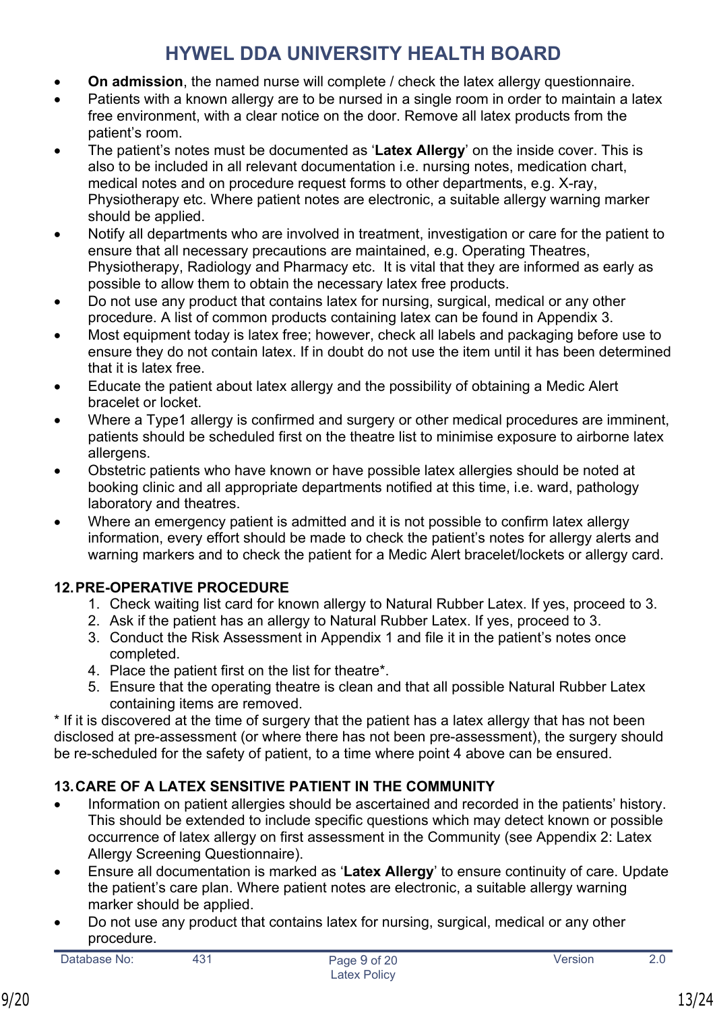- **On admission**, the named nurse will complete / check the latex allergy questionnaire.
- Patients with a known allergy are to be nursed in a single room in order to maintain a latex free environment, with a clear notice on the door. Remove all latex products from the patient's room.
- The patient's notes must be documented as '**Latex Allergy**' on the inside cover. This is also to be included in all relevant documentation i.e. nursing notes, medication chart, medical notes and on procedure request forms to other departments, e.g. X-ray, Physiotherapy etc. Where patient notes are electronic, a suitable allergy warning marker should be applied.
- Notify all departments who are involved in treatment, investigation or care for the patient to ensure that all necessary precautions are maintained, e.g. Operating Theatres, Physiotherapy, Radiology and Pharmacy etc. It is vital that they are informed as early as possible to allow them to obtain the necessary latex free products.
- Do not use any product that contains latex for nursing, surgical, medical or any other procedure. A list of common products containing latex can be found in Appendix 3.
- Most equipment today is latex free; however, check all labels and packaging before use to ensure they do not contain latex. If in doubt do not use the item until it has been determined that it is latex free.
- Educate the patient about latex allergy and the possibility of obtaining a Medic Alert bracelet or locket.
- Where a Type1 allergy is confirmed and surgery or other medical procedures are imminent, patients should be scheduled first on the theatre list to minimise exposure to airborne latex allergens.
- Obstetric patients who have known or have possible latex allergies should be noted at booking clinic and all appropriate departments notified at this time, i.e. ward, pathology laboratory and theatres.
- Where an emergency patient is admitted and it is not possible to confirm latex allergy information, every effort should be made to check the patient's notes for allergy alerts and warning markers and to check the patient for a Medic Alert bracelet/lockets or allergy card.

### <span id="page-12-0"></span>**12.PRE-OPERATIVE PROCEDURE**

- 1. Check waiting list card for known allergy to Natural Rubber Latex. If yes, proceed to 3.
- 2. Ask if the patient has an allergy to Natural Rubber Latex. If yes, proceed to 3.
- 3. Conduct the Risk Assessment in Appendix 1 and file it in the patient's notes once completed.
- 4. Place the patient first on the list for theatre\*.
- 5. Ensure that the operating theatre is clean and that all possible Natural Rubber Latex containing items are removed.

\* If it is discovered at the time of surgery that the patient has a latex allergy that has not been disclosed at pre-assessment (or where there has not been pre-assessment), the surgery should be re-scheduled for the safety of patient, to a time where point 4 above can be ensured.

### <span id="page-12-1"></span>**13.CARE OF A LATEX SENSITIVE PATIENT IN THE COMMUNITY**

- Information on patient allergies should be ascertained and recorded in the patients' history. This should be extended to include specific questions which may detect known or possible occurrence of latex allergy on first assessment in the Community (see Appendix 2: Latex Allergy Screening Questionnaire).
- Ensure all documentation is marked as '**Latex Allergy**' to ensure continuity of care. Update the patient's care plan. Where patient notes are electronic, a suitable allergy warning marker should be applied.
- Do not use any product that contains latex for nursing, surgical, medical or any other procedure.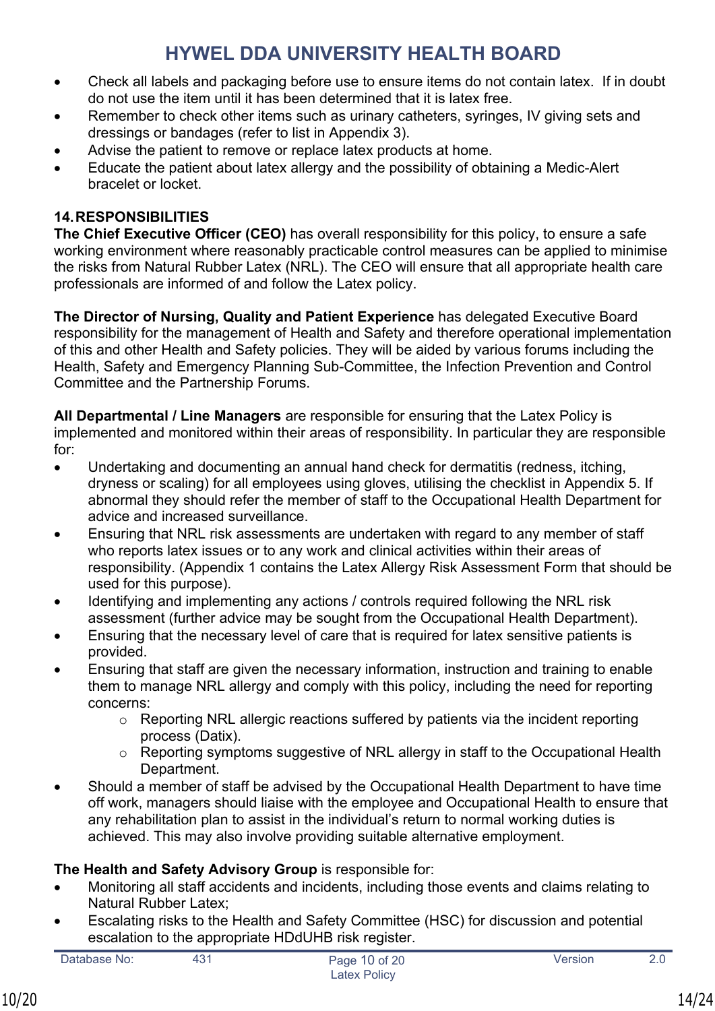- Check all labels and packaging before use to ensure items do not contain latex. If in doubt do not use the item until it has been determined that it is latex free.
- Remember to check other items such as urinary catheters, syringes, IV giving sets and dressings or bandages (refer to list in Appendix 3).
- Advise the patient to remove or replace latex products at home.
- Educate the patient about latex allergy and the possibility of obtaining a Medic-Alert bracelet or locket.

### <span id="page-13-0"></span>**14.RESPONSIBILITIES**

**The Chief Executive Officer (CEO)** has overall responsibility for this policy, to ensure a safe working environment where reasonably practicable control measures can be applied to minimise the risks from Natural Rubber Latex (NRL). The CEO will ensure that all appropriate health care professionals are informed of and follow the Latex policy.

**The Director of Nursing, Quality and Patient Experience** has delegated Executive Board responsibility for the management of Health and Safety and therefore operational implementation of this and other Health and Safety policies. They will be aided by various forums including the Health, Safety and Emergency Planning Sub-Committee, the Infection Prevention and Control Committee and the Partnership Forums.

**All Departmental / Line Managers** are responsible for ensuring that the Latex Policy is implemented and monitored within their areas of responsibility. In particular they are responsible for:

- Undertaking and documenting an annual hand check for dermatitis (redness, itching, dryness or scaling) for all employees using gloves, utilising the checklist in Appendix 5. If abnormal they should refer the member of staff to the Occupational Health Department for advice and increased surveillance.
- Ensuring that NRL risk assessments are undertaken with regard to any member of staff who reports latex issues or to any work and clinical activities within their areas of responsibility. (Appendix 1 contains the Latex Allergy Risk Assessment Form that should be used for this purpose).
- Identifying and implementing any actions / controls required following the NRL risk assessment (further advice may be sought from the Occupational Health Department).
- Ensuring that the necessary level of care that is required for latex sensitive patients is provided.
- Ensuring that staff are given the necessary information, instruction and training to enable them to manage NRL allergy and comply with this policy, including the need for reporting concerns:
	- o Reporting NRL allergic reactions suffered by patients via the incident reporting process (Datix).
	- o Reporting symptoms suggestive of NRL allergy in staff to the Occupational Health Department.
- Should a member of staff be advised by the Occupational Health Department to have time off work, managers should liaise with the employee and Occupational Health to ensure that any rehabilitation plan to assist in the individual's return to normal working duties is achieved. This may also involve providing suitable alternative employment.

### **The Health and Safety Advisory Group** is responsible for:

- Monitoring all staff accidents and incidents, including those events and claims relating to Natural Rubber Latex;
- Escalating risks to the Health and Safety Committee (HSC) for discussion and potential escalation to the appropriate HDdUHB risk register.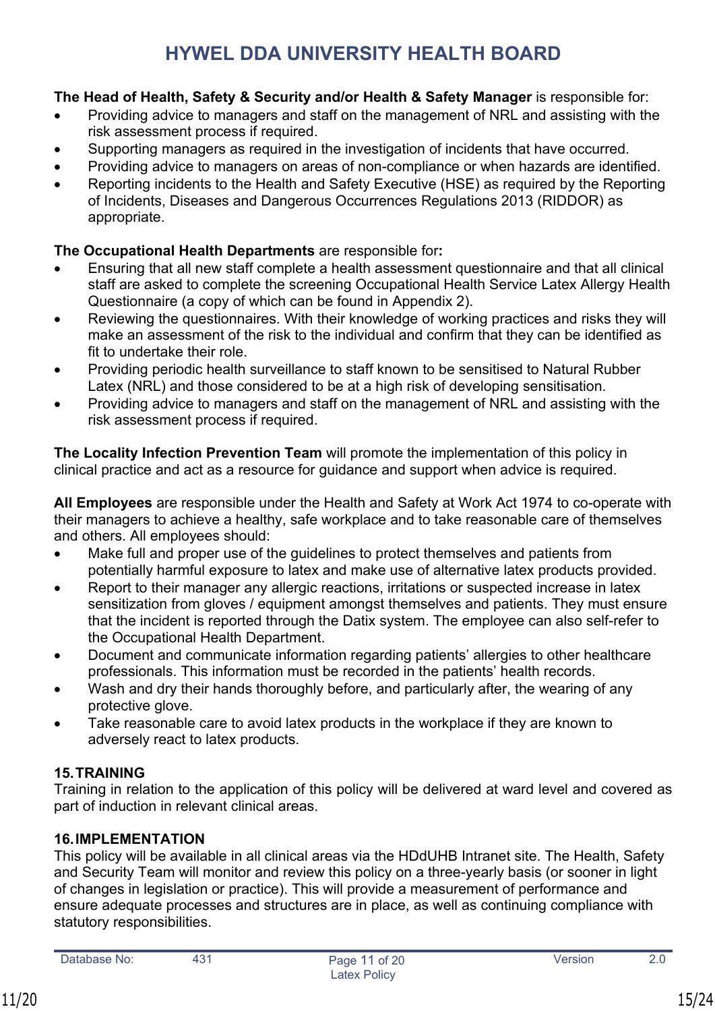### **The Head of Health, Safety & Security and/or Health & Safety Manager** is responsible for:

- Providing advice to managers and staff on the management of NRL and assisting with the risk assessment process if required.
- Supporting managers as required in the investigation of incidents that have occurred.
- Providing advice to managers on areas of non-compliance or when hazards are identified.
- Reporting incidents to the Health and Safety Executive (HSE) as required by the Reporting of Incidents, Diseases and Dangerous Occurrences Regulations 2013 (RIDDOR) as appropriate.

### **The Occupational Health Departments** are responsible for**:**

- Ensuring that all new staff complete a health assessment questionnaire and that all clinical staff are asked to complete the screening Occupational Health Service Latex Allergy Health Questionnaire (a copy of which can be found in Appendix 2).
- Reviewing the questionnaires. With their knowledge of working practices and risks they will make an assessment of the risk to the individual and confirm that they can be identified as fit to undertake their role.
- Providing periodic health surveillance to staff known to be sensitised to Natural Rubber Latex (NRL) and those considered to be at a high risk of developing sensitisation.
- Providing advice to managers and staff on the management of NRL and assisting with the risk assessment process if required.

**The Locality Infection Prevention Team** will promote the implementation of this policy in clinical practice and act as a resource for guidance and support when advice is required.

**All Employees** are responsible under the Health and Safety at Work Act 1974 to co-operate with their managers to achieve a healthy, safe workplace and to take reasonable care of themselves and others. All employees should:

- Make full and proper use of the guidelines to protect themselves and patients from potentially harmful exposure to latex and make use of alternative latex products provided.
- Report to their manager any allergic reactions, irritations or suspected increase in latex sensitization from gloves / equipment amongst themselves and patients. They must ensure that the incident is reported through the Datix system. The employee can also self-refer to the Occupational Health Department.
- Document and communicate information regarding patients' allergies to other healthcare professionals. This information must be recorded in the patients' health records.
- Wash and dry their hands thoroughly before, and particularly after, the wearing of any protective glove.
- Take reasonable care to avoid latex products in the workplace if they are known to adversely react to latex products.

### <span id="page-14-0"></span>**15.TRAINING**

Training in relation to the application of this policy will be delivered at ward level and covered as part of induction in relevant clinical areas.

### <span id="page-14-1"></span>**16.IMPLEMENTATION**

This policy will be available in all clinical areas via the HDdUHB Intranet site. The Health, Safety and Security Team will monitor and review this policy on a three-yearly basis (or sooner in light of changes in legislation or practice). This will provide a measurement of performance and ensure adequate processes and structures are in place, as well as continuing compliance with statutory responsibilities.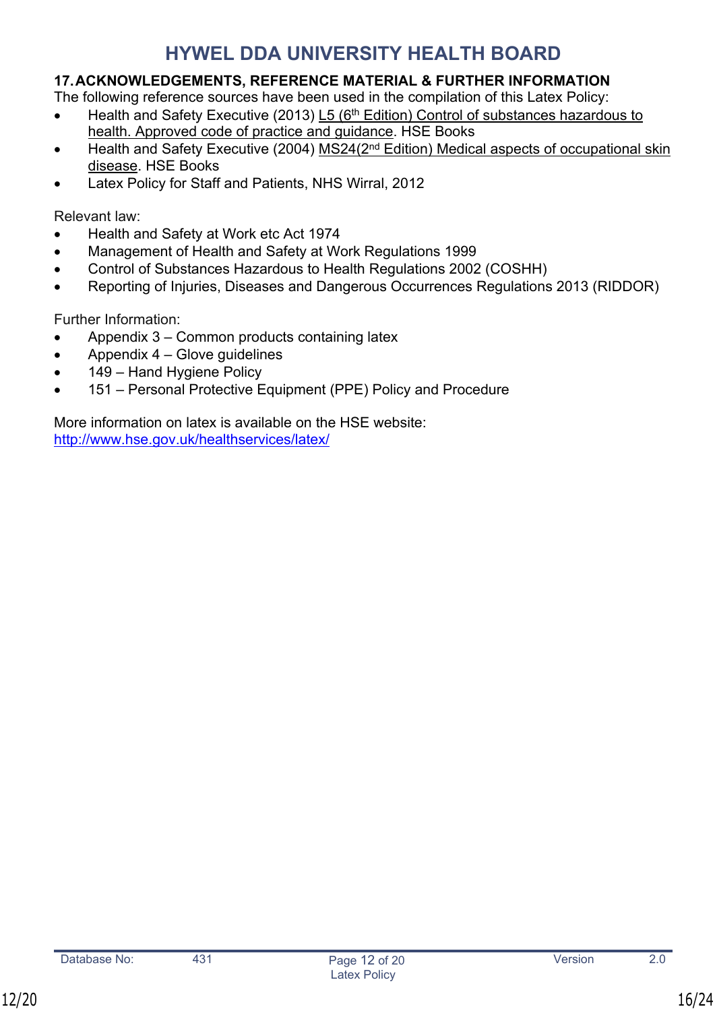### <span id="page-15-0"></span>**17.ACKNOWLEDGEMENTS, REFERENCE MATERIAL & FURTHER INFORMATION**

The following reference sources have been used in the compilation of this Latex Policy:

- Health and Safety Executive (2013) L5 (6<sup>th</sup> Edition) Control of substances hazardous to health. Approved code of practice and guidance. HSE Books
- Health and Safety Executive (2004) MS24(2<sup>nd</sup> Edition) Medical aspects of occupational skin disease. HSE Books
- Latex Policy for Staff and Patients, NHS Wirral, 2012

### Relevant law:

- Health and Safety at Work etc Act 1974
- Management of Health and Safety at Work Regulations 1999
- Control of Substances Hazardous to Health Regulations 2002 (COSHH)
- Reporting of Injuries, Diseases and Dangerous Occurrences Regulations 2013 (RIDDOR)

Further Information:

- Appendix 3 Common products containing latex
- Appendix  $4 -$  Glove guidelines
- 149 Hand Hygiene Policy
- 151 Personal Protective Equipment (PPE) Policy and Procedure

More information on latex is available on the HSE website: <http://www.hse.gov.uk/healthservices/latex/>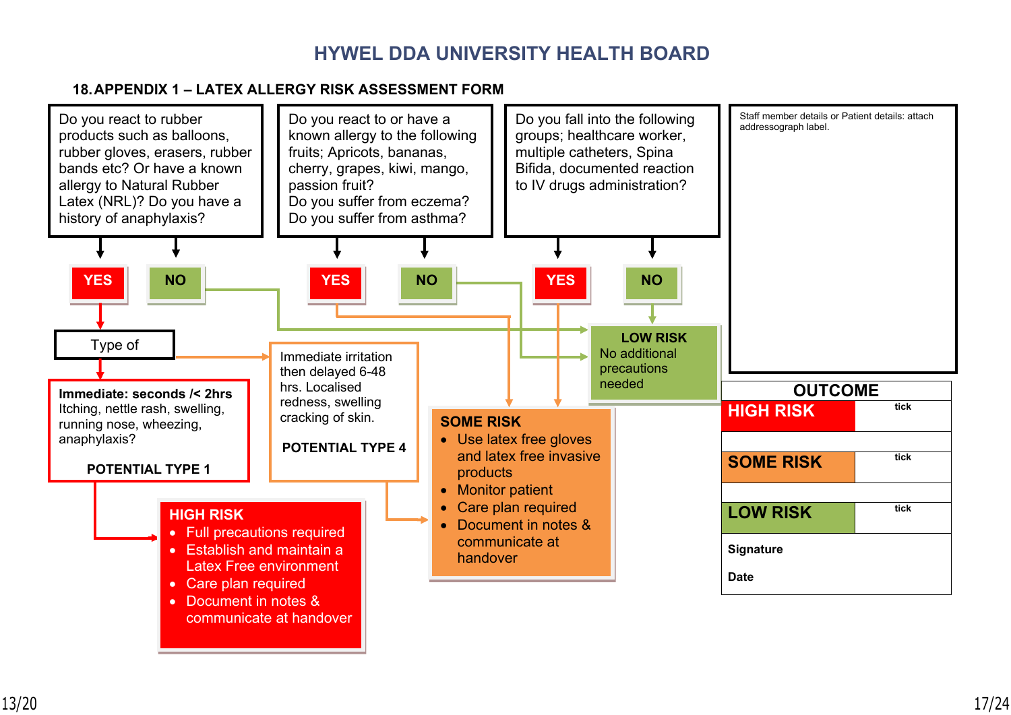### **18.APPENDIX 1 – LATEX ALLERGY RISK ASSESSMENT FORM**

<span id="page-16-0"></span>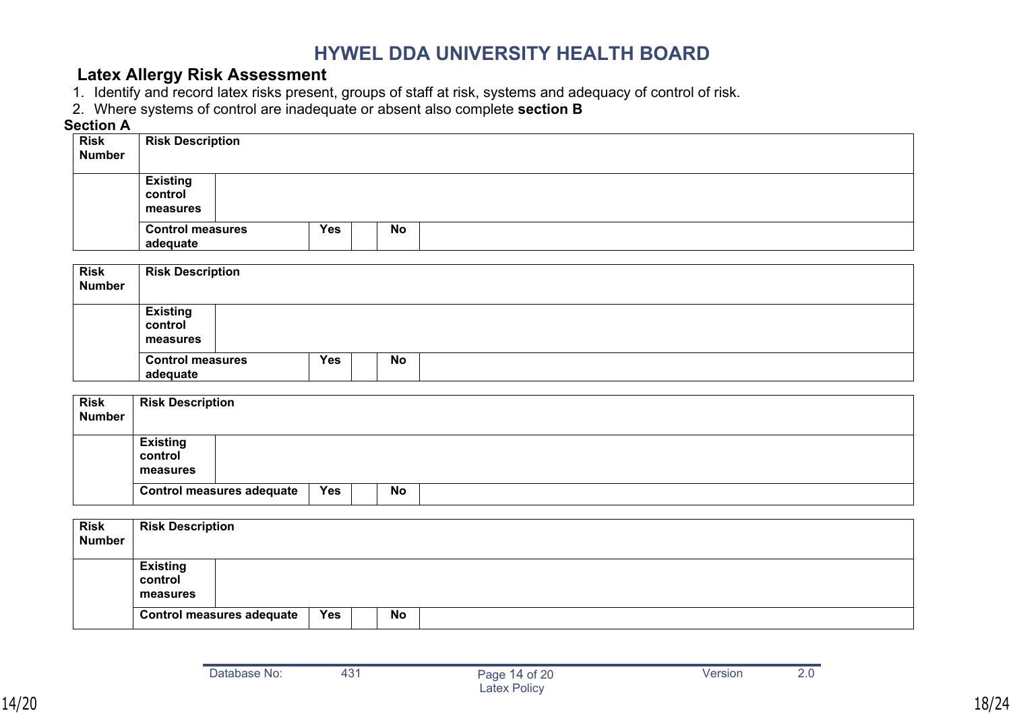### **Latex Allergy Risk Assessment**

1. Identify and record latex risks present, groups of staff at risk, systems and adequacy of control of risk.

2. Where systems of control are inadequate or absent also complete **section B**

### **Section A**

| <b>Risk</b><br><b>Number</b> | <b>Risk Description</b>             |     |    |  |
|------------------------------|-------------------------------------|-----|----|--|
|                              | Existing<br>control<br>measures     |     |    |  |
|                              | <b>Control measures</b><br>adequate | Yes | No |  |

| <b>Risk</b><br><b>Number</b> | <b>Risk Description</b>                |     |    |  |
|------------------------------|----------------------------------------|-----|----|--|
|                              | <b>Existing</b><br>control<br>measures |     |    |  |
|                              | <b>Control measures</b><br>adequate    | Yes | No |  |

| <b>Risk</b><br><b>Number</b> | <b>Risk Description</b>                |                                  |            |    |  |
|------------------------------|----------------------------------------|----------------------------------|------------|----|--|
|                              | <b>Existing</b><br>control<br>measures |                                  |            |    |  |
|                              |                                        | <b>Control measures adequate</b> | <b>Yes</b> | No |  |

| Risk<br>Number | <b>Risk Description</b>                |                                  |            |  |    |  |  |  |
|----------------|----------------------------------------|----------------------------------|------------|--|----|--|--|--|
|                | <b>Existing</b><br>control<br>measures |                                  |            |  |    |  |  |  |
|                |                                        | <b>Control measures adequate</b> | <b>Yes</b> |  | No |  |  |  |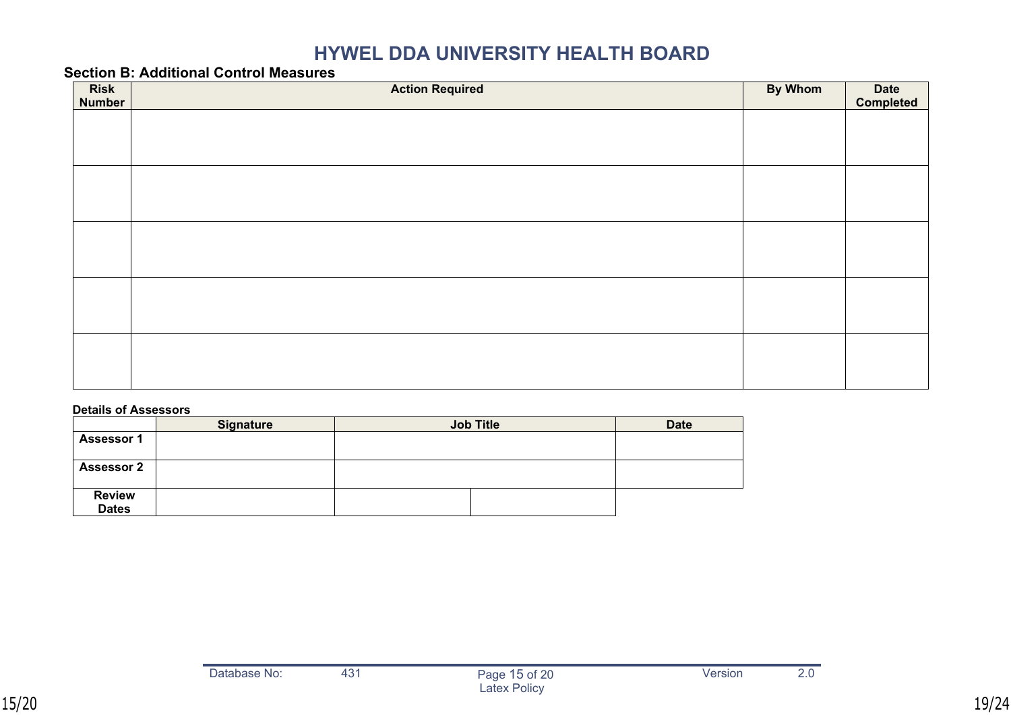#### **Section B: Additional Control Measures**

| <b>Risk</b><br><b>Number</b> | <b>Action Required</b> | <b>By Whom</b> | Date<br>Completed |
|------------------------------|------------------------|----------------|-------------------|
|                              |                        |                |                   |
|                              |                        |                |                   |
|                              |                        |                |                   |
|                              |                        |                |                   |
|                              |                        |                |                   |
|                              |                        |                |                   |
|                              |                        |                |                   |
|                              |                        |                |                   |
|                              |                        |                |                   |
|                              |                        |                |                   |
|                              |                        |                |                   |

#### **Details of Assessors**

|                               | <b>Signature</b> | <b>Job Title</b> | <b>Date</b> |
|-------------------------------|------------------|------------------|-------------|
| <b>Assessor 1</b>             |                  |                  |             |
| <b>Assessor 2</b>             |                  |                  |             |
| <b>Review</b><br><b>Dates</b> |                  |                  |             |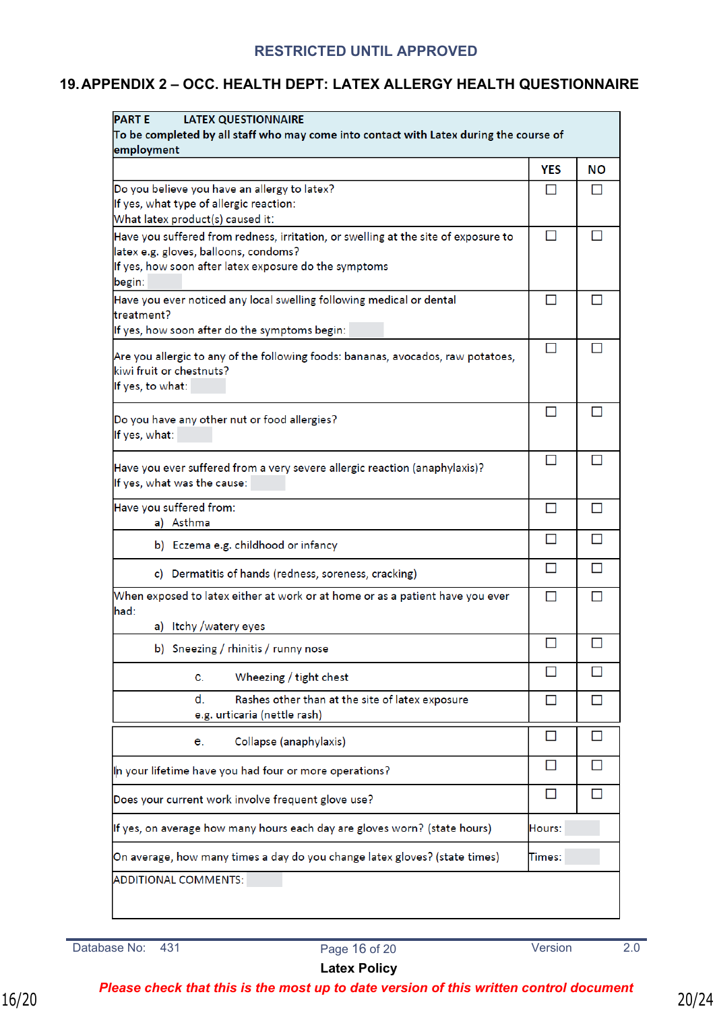#### <span id="page-19-0"></span>**19.APPENDIX 2 – OCC. HEALTH DEPT: LATEX ALLERGY HEALTH QUESTIONNAIRE**

| <b>PARTE</b><br><b>LATEX QUESTIONNAIRE</b>                                                                                                                                                     |              |    |  |  |  |  |  |
|------------------------------------------------------------------------------------------------------------------------------------------------------------------------------------------------|--------------|----|--|--|--|--|--|
| To be completed by all staff who may come into contact with Latex during the course of<br>employment                                                                                           |              |    |  |  |  |  |  |
|                                                                                                                                                                                                | <b>YES</b>   | NΟ |  |  |  |  |  |
| Do you believe you have an allergy to latex?<br>If yes, what type of allergic reaction:<br>What latex product(s) caused it:                                                                    | H            |    |  |  |  |  |  |
| Have you suffered from redness, irritation, or swelling at the site of exposure to<br>latex e.g. gloves, balloons, condoms?<br>If yes, how soon after latex exposure do the symptoms<br>begin: |              |    |  |  |  |  |  |
| Have you ever noticed any local swelling following medical or dental<br>treatment?<br>If yes, how soon after do the symptoms begin:                                                            | П            |    |  |  |  |  |  |
| Are you allergic to any of the following foods: bananas, avocados, raw potatoes,<br>kiwi fruit or chestnuts?<br>If yes, to what:                                                               | Ш            |    |  |  |  |  |  |
| Do you have any other nut or food allergies?<br>If yes, what:                                                                                                                                  | $\mathsf{L}$ |    |  |  |  |  |  |
| Have you ever suffered from a very severe allergic reaction (anaphylaxis)?<br>If yes, what was the cause:                                                                                      | H            |    |  |  |  |  |  |
| Have you suffered from:<br>a) Asthma                                                                                                                                                           | П            |    |  |  |  |  |  |
| b) Eczema e.g. childhood or infancy                                                                                                                                                            | I I          |    |  |  |  |  |  |
| c) Dermatitis of hands (redness, soreness, cracking)                                                                                                                                           | $\mathsf{L}$ | H  |  |  |  |  |  |
| When exposed to latex either at work or at home or as a patient have you ever<br>had:<br>a) Itchy /watery eyes                                                                                 |              |    |  |  |  |  |  |
| b) Sneezing / rhinitis / runny nose                                                                                                                                                            | $\Box$       |    |  |  |  |  |  |
| Wheezing / tight chest<br>C.                                                                                                                                                                   | H            |    |  |  |  |  |  |
| d.<br>Rashes other than at the site of latex exposure<br>e.g. urticaria (nettle rash)                                                                                                          | ப            |    |  |  |  |  |  |
| Collapse (anaphylaxis)<br>е.                                                                                                                                                                   | □            |    |  |  |  |  |  |
| In your lifetime have you had four or more operations?                                                                                                                                         | □            |    |  |  |  |  |  |
| Does your current work involve frequent glove use?                                                                                                                                             | П            |    |  |  |  |  |  |
| If yes, on average how many hours each day are gloves worn? (state hours)                                                                                                                      | Hours:       |    |  |  |  |  |  |
| On average, how many times a day do you change latex gloves? (state times)                                                                                                                     | Times:       |    |  |  |  |  |  |
| <b>ADDITIONAL COMMENTS:</b>                                                                                                                                                                    |              |    |  |  |  |  |  |

Database No: 431 Page 16 of 20 Version 2.0

 **Latex Policy** *Please check that this is the most up to date version of this written control document*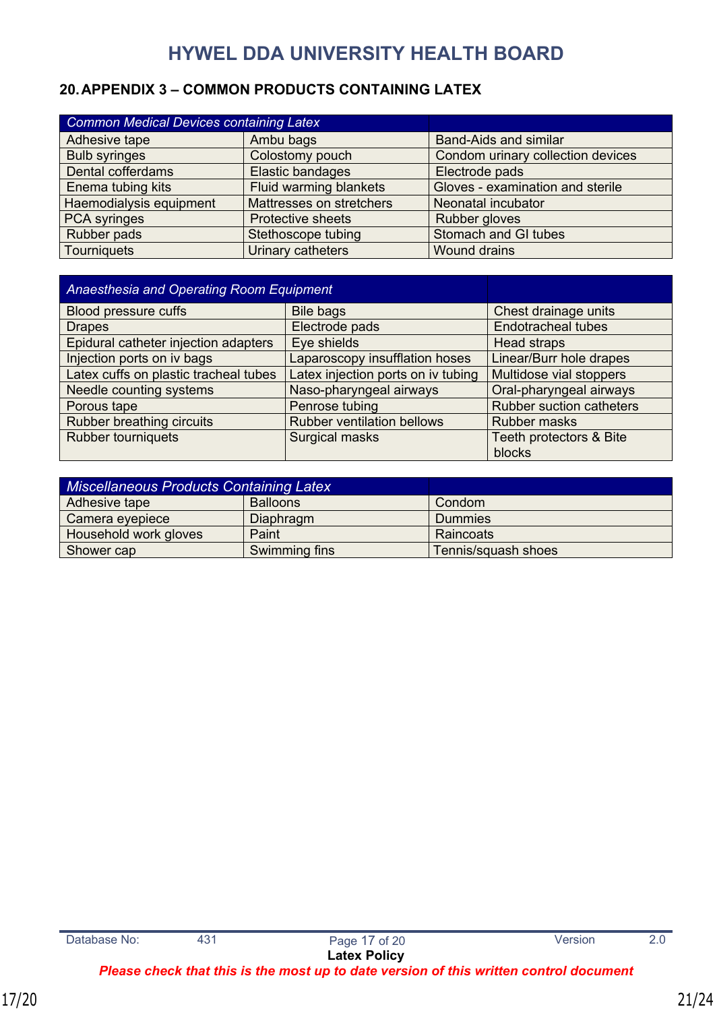### <span id="page-20-0"></span>**20.APPENDIX 3 – COMMON PRODUCTS CONTAINING LATEX**

| <b>Common Medical Devices containing Latex</b> |                          |                                   |  |
|------------------------------------------------|--------------------------|-----------------------------------|--|
| Adhesive tape                                  | Ambu bags                | <b>Band-Aids and similar</b>      |  |
| <b>Bulb syringes</b>                           | Colostomy pouch          | Condom urinary collection devices |  |
| Dental cofferdams                              | Elastic bandages         | Electrode pads                    |  |
| Enema tubing kits                              | Fluid warming blankets   | Gloves - examination and sterile  |  |
| Haemodialysis equipment                        | Mattresses on stretchers | Neonatal incubator                |  |
| <b>PCA</b> syringes                            | <b>Protective sheets</b> | Rubber gloves                     |  |
| Rubber pads                                    | Stethoscope tubing       | Stomach and GI tubes              |  |
| Tourniquets                                    | Urinary catheters        | <b>Wound drains</b>               |  |

| Anaesthesia and Operating Room Equipment |                                    |                                 |  |
|------------------------------------------|------------------------------------|---------------------------------|--|
| Blood pressure cuffs                     | <b>Bile bags</b>                   | Chest drainage units            |  |
| <b>Drapes</b>                            | Electrode pads                     | <b>Endotracheal tubes</b>       |  |
| Epidural catheter injection adapters     | Eye shields                        | Head straps                     |  |
| Injection ports on iv bags               | Laparoscopy insufflation hoses     | Linear/Burr hole drapes         |  |
| Latex cuffs on plastic tracheal tubes    | Latex injection ports on iv tubing | Multidose vial stoppers         |  |
| Needle counting systems                  | Naso-pharyngeal airways            | Oral-pharyngeal airways         |  |
| Porous tape                              | Penrose tubing                     | <b>Rubber suction catheters</b> |  |
| Rubber breathing circuits                | <b>Rubber ventilation bellows</b>  | <b>Rubber masks</b>             |  |
| <b>Rubber tourniquets</b>                | <b>Surgical masks</b>              | Teeth protectors & Bite         |  |
|                                          |                                    | blocks                          |  |

| <b>Miscellaneous Products Containing Latex</b> |                     |           |
|------------------------------------------------|---------------------|-----------|
| Adhesive tape                                  | Condom              |           |
| Camera eyepiece                                | Diaphragm           | Dummies   |
| Household work gloves                          | Paint               | Raincoats |
| Shower cap                                     | Tennis/squash shoes |           |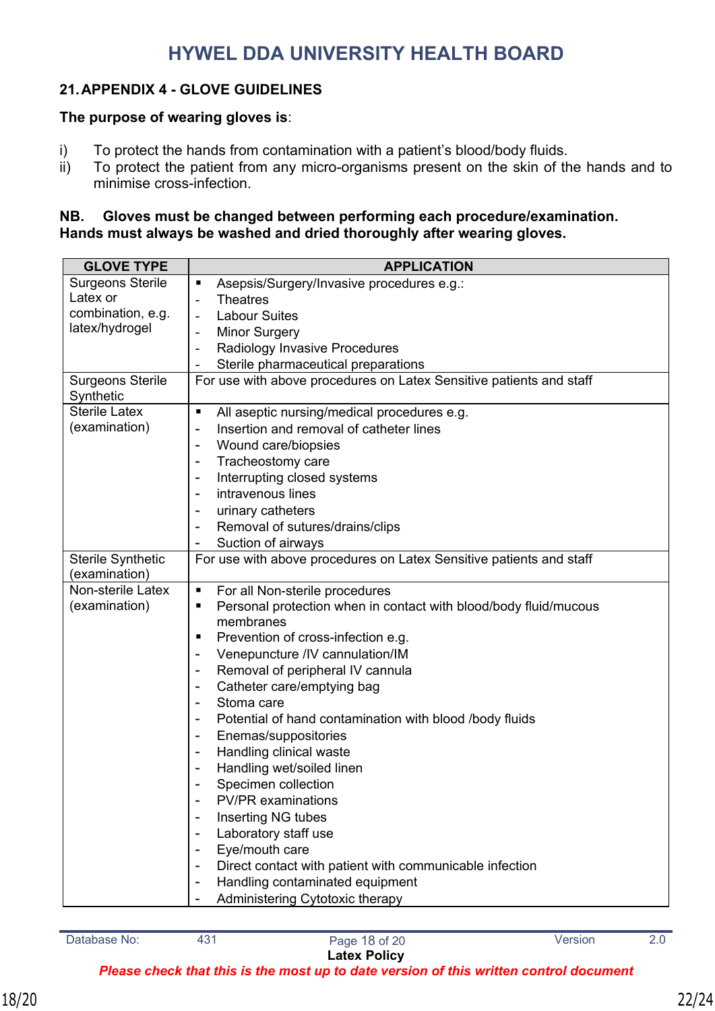### <span id="page-21-0"></span>**21.APPENDIX 4 - GLOVE GUIDELINES**

### **The purpose of wearing gloves is**:

- i) To protect the hands from contamination with a patient's blood/body fluids.
- ii) To protect the patient from any micro-organisms present on the skin of the hands and to minimise cross-infection.

#### **NB. Gloves must be changed between performing each procedure/examination. Hands must always be washed and dried thoroughly after wearing gloves.**

| <b>GLOVE TYPE</b>        | <b>APPLICATION</b>                                                    |
|--------------------------|-----------------------------------------------------------------------|
| <b>Surgeons Sterile</b>  | Asepsis/Surgery/Invasive procedures e.g.:<br>٠                        |
| Latex or                 | <b>Theatres</b><br>$\overline{\phantom{a}}$                           |
| combination, e.g.        | <b>Labour Suites</b><br>$\overline{\phantom{a}}$                      |
| latex/hydrogel           | <b>Minor Surgery</b><br>-                                             |
|                          | Radiology Invasive Procedures<br>$\blacksquare$                       |
|                          | Sterile pharmaceutical preparations<br>$\overline{a}$                 |
| <b>Surgeons Sterile</b>  | For use with above procedures on Latex Sensitive patients and staff   |
| Synthetic                |                                                                       |
| <b>Sterile Latex</b>     | All aseptic nursing/medical procedures e.g.<br>Ξ                      |
| (examination)            | Insertion and removal of catheter lines<br>$\overline{\phantom{a}}$   |
|                          | Wound care/biopsies<br>$\qquad \qquad \blacksquare$                   |
|                          | Tracheostomy care<br>-                                                |
|                          | Interrupting closed systems<br>-                                      |
|                          | intravenous lines<br>$\qquad \qquad$                                  |
|                          | urinary catheters                                                     |
|                          | Removal of sutures/drains/clips<br>-                                  |
|                          | Suction of airways<br>۰                                               |
| <b>Sterile Synthetic</b> | For use with above procedures on Latex Sensitive patients and staff   |
| (examination)            |                                                                       |
| Non-sterile Latex        | For all Non-sterile procedures<br>п                                   |
| (examination)            | Personal protection when in contact with blood/body fluid/mucous<br>п |
|                          | membranes                                                             |
|                          | Prevention of cross-infection e.g.<br>٠                               |
|                          | Venepuncture /IV cannulation/IM<br>٠                                  |
|                          | Removal of peripheral IV cannula<br>-                                 |
|                          | Catheter care/emptying bag<br>-                                       |
|                          | Stoma care                                                            |
|                          | Potential of hand contamination with blood /body fluids               |
|                          | Enemas/suppositories                                                  |
|                          | Handling clinical waste<br>-                                          |
|                          | Handling wet/soiled linen                                             |
|                          | Specimen collection<br>-                                              |
|                          | <b>PV/PR</b> examinations<br>-                                        |
|                          | Inserting NG tubes                                                    |
|                          | Laboratory staff use                                                  |
|                          | Eye/mouth care                                                        |
|                          | Direct contact with patient with communicable infection<br>-          |
|                          | Handling contaminated equipment<br>$\overline{\phantom{a}}$           |
|                          | Administering Cytotoxic therapy                                       |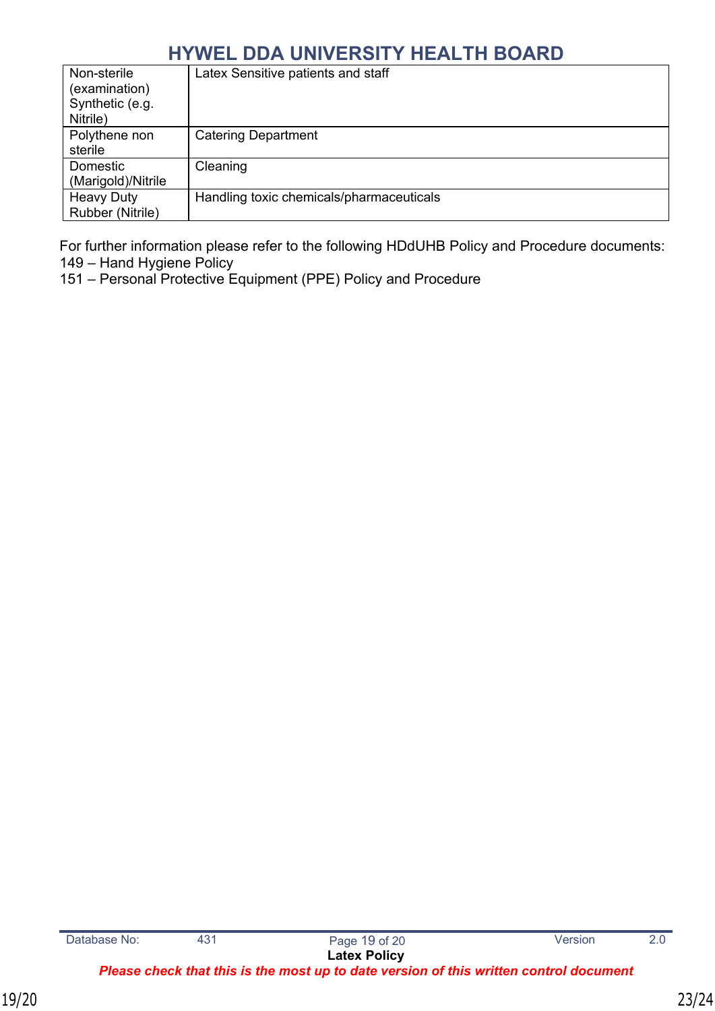| Non-sterile<br>(examination)<br>Synthetic (e.g.<br>Nitrile) | Latex Sensitive patients and staff       |
|-------------------------------------------------------------|------------------------------------------|
| Polythene non<br>sterile                                    | <b>Catering Department</b>               |
| Domestic<br>(Marigold)/Nitrile                              | Cleaning                                 |
| <b>Heavy Duty</b><br>Rubber (Nitrile)                       | Handling toxic chemicals/pharmaceuticals |

For further information please refer to the following HDdUHB Policy and Procedure documents: 149 – Hand Hygiene Policy

151 – Personal Protective Equipment (PPE) Policy and Procedure